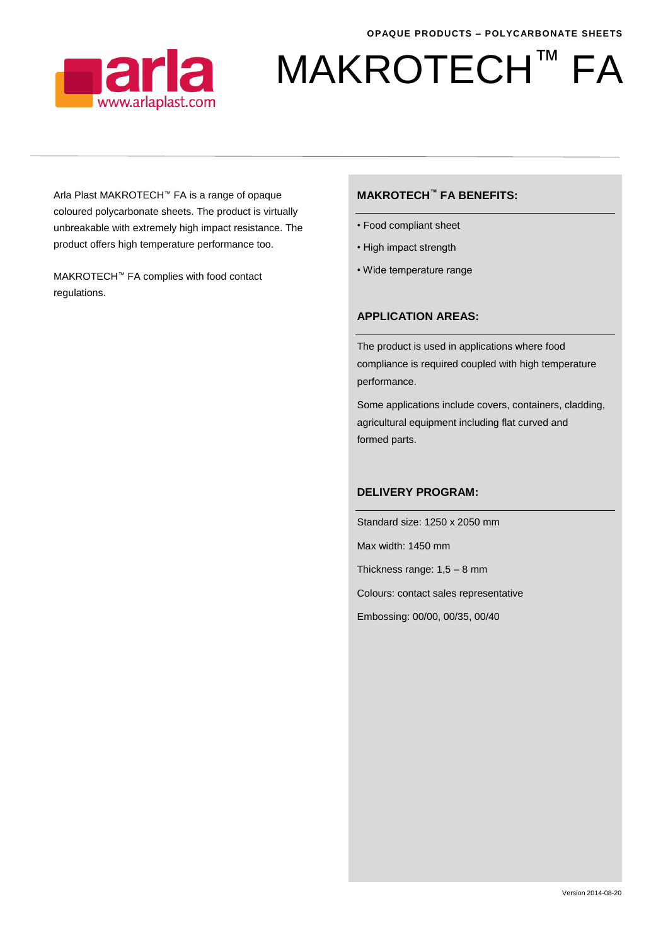

# MAKROTECH<sup>™</sup> FA

Arla Plast MAKROTECH™ FA is a range of opaque coloured polycarbonate sheets. The product is virtually unbreakable with extremely high impact resistance. The product offers high temperature performance too.

MAKROTECH™ FA complies with food contact regulations.

### **MAKROTECH™ FA BENEFITS:**

- Food compliant sheet
- High impact strength
- Wide temperature range

### **APPLICATION AREAS:**

The product is used in applications where food compliance is required coupled with high temperature performance.

Some applications include covers, containers, cladding, agricultural equipment including flat curved and formed parts.

#### **DELIVERY PROGRAM:**

Standard size: 1250 x 2050 mm Max width: 1450 mm Thickness range: 1,5 – 8 mm Colours: contact sales representative Embossing: 00/00, 00/35, 00/40